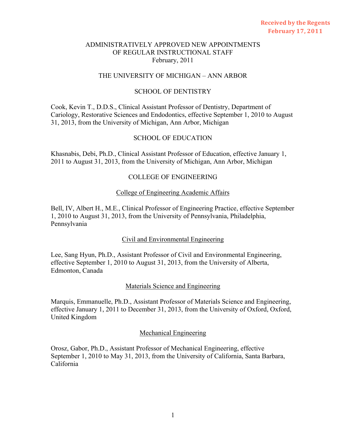### THE UNIVERSITY OF MICHIGAN – ANN ARBOR

### SCHOOL OF DENTISTRY

Cook, Kevin T., D.D.S., Clinical Assistant Professor of Dentistry, Department of Cariology, Restorative Sciences and Endodontics, effective September 1, 2010 to August 31, 2013, from the University of Michigan, Ann Arbor, Michigan

## SCHOOL OF EDUCATION

Khasnabis, Debi, Ph.D., Clinical Assistant Professor of Education, effective January 1, 2011 to August 31, 2013, from the University of Michigan, Ann Arbor, Michigan

## COLLEGE OF ENGINEERING

#### College of Engineering Academic Affairs

Bell, IV, Albert H., M.E., Clinical Professor of Engineering Practice, effective September 1, 2010 to August 31, 2013, from the University of Pennsylvania, Philadelphia, Pennsylvania

### Civil and Environmental Engineering

Lee, Sang Hyun, Ph.D., Assistant Professor of Civil and Environmental Engineering, effective September 1, 2010 to August 31, 2013, from the University of Alberta, Edmonton, Canada

### Materials Science and Engineering

Marquis, Emmanuelle, Ph.D., Assistant Professor of Materials Science and Engineering, effective January 1, 2011 to December 31, 2013, from the University of Oxford, Oxford, United Kingdom

#### Mechanical Engineering

Orosz, Gabor, Ph.D., Assistant Professor of Mechanical Engineering, effective September 1, 2010 to May 31, 2013, from the University of California, Santa Barbara, California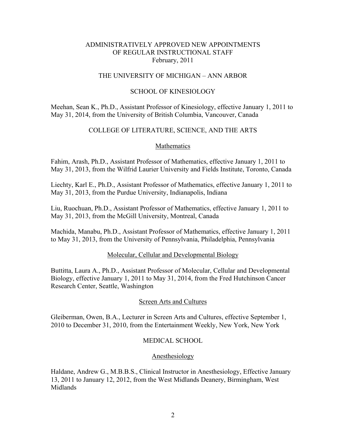### THE UNIVERSITY OF MICHIGAN – ANN ARBOR

### SCHOOL OF KINESIOLOGY

Meehan, Sean K., Ph.D., Assistant Professor of Kinesiology, effective January 1, 2011 to May 31, 2014, from the University of British Columbia, Vancouver, Canada

# COLLEGE OF LITERATURE, SCIENCE, AND THE ARTS

#### Mathematics

Fahim, Arash, Ph.D., Assistant Professor of Mathematics, effective January 1, 2011 to May 31, 2013, from the Wilfrid Laurier University and Fields Institute, Toronto, Canada

Liechty, Karl E., Ph.D., Assistant Professor of Mathematics, effective January 1, 2011 to May 31, 2013, from the Purdue University, Indianapolis, Indiana

Liu, Ruochuan, Ph.D., Assistant Professor of Mathematics, effective January 1, 2011 to May 31, 2013, from the McGill University, Montreal, Canada

Machida, Manabu, Ph.D., Assistant Professor of Mathematics, effective January 1, 2011 to May 31, 2013, from the University of Pennsylvania, Philadelphia, Pennsylvania

#### Molecular, Cellular and Developmental Biology

Buttitta, Laura A., Ph.D., Assistant Professor of Molecular, Cellular and Developmental Biology, effective January 1, 2011 to May 31, 2014, from the Fred Hutchinson Cancer Research Center, Seattle, Washington

#### Screen Arts and Cultures

Gleiberman, Owen, B.A., Lecturer in Screen Arts and Cultures, effective September 1, 2010 to December 31, 2010, from the Entertainment Weekly, New York, New York

#### MEDICAL SCHOOL

#### Anesthesiology

Haldane, Andrew G., M.B.B.S., Clinical Instructor in Anesthesiology, Effective January 13, 2011 to January 12, 2012, from the West Midlands Deanery, Birmingham, West Midlands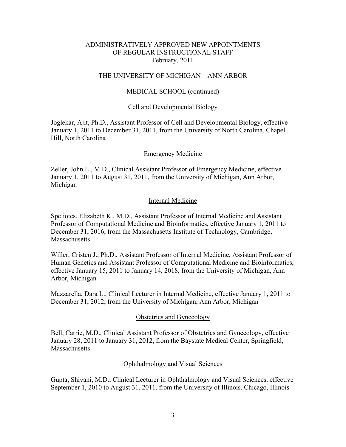### THE UNIVERSITY OF MICHIGAN – ANN ARBOR

### MEDICAL SCHOOL (continued)

#### Cell and Developmental Biology

Joglekar, Ajit, Ph.D., Assistant Professor of Cell and Developmental Biology, effective January 1, 2011 to December 31, 2011, from the University of North Carolina, Chapel Hill, North Carolina

### Emergency Medicine

Zeller, John L., M.D., Clinical Assistant Professor of Emergency Medicine, effective January 1, 2011 to August 31, 2011, from the University of Michigan, Ann Arbor, Michigan

### Internal Medicine

Speliotes, Elizabeth K., M.D., Assistant Professor of Internal Medicine and Assistant Professor of Computational Medicine and Bioinformatics, effective January 1, 2011 to December 31, 2016, from the Massachusetts Institute of Technology, Cambridge, Massachusetts

Willer, Cristen J., Ph.D., Assistant Professor of Internal Medicine, Assistant Professor of Human Genetics and Assistant Professor of Computational Medicine and Bioinformatics, effective January 15, 2011 to January 14, 2018, from the University of Michigan, Ann Arbor, Michigan

Mazzarella, Dara L., Clinical Lecturer in Internal Medicine, effective January 1, 2011 to December 31, 2012, from the University of Michigan, Ann Arbor, Michigan

#### Obstetrics and Gynecology

Bell, Carrie, M.D., Clinical Assistant Professor of Obstetrics and Gynecology, effective January 28, 2011 to January 31, 2012, from the Baystate Medical Center, Springfield, **Massachusetts** 

#### Ophthalmology and Visual Sciences

Gupta, Shivani, M.D., Clinical Lecturer in Ophthalmology and Visual Sciences, effective September 1, 2010 to August 31, 2011, from the University of Illinois, Chicago, Illinois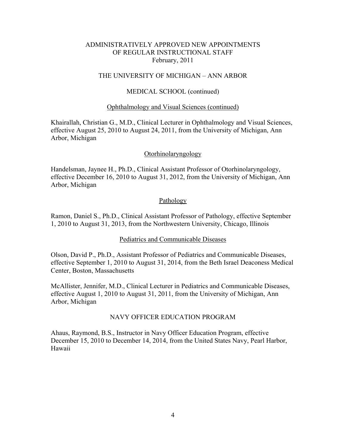### THE UNIVERSITY OF MICHIGAN – ANN ARBOR

### MEDICAL SCHOOL (continued)

#### Ophthalmology and Visual Sciences (continued)

Khairallah, Christian G., M.D., Clinical Lecturer in Ophthalmology and Visual Sciences, effective August 25, 2010 to August 24, 2011, from the University of Michigan, Ann Arbor, Michigan

#### Otorhinolaryngology

Handelsman, Jaynee H., Ph.D., Clinical Assistant Professor of Otorhinolaryngology, effective December 16, 2010 to August 31, 2012, from the University of Michigan, Ann Arbor, Michigan

#### Pathology

Ramon, Daniel S., Ph.D., Clinical Assistant Professor of Pathology, effective September 1, 2010 to August 31, 2013, from the Northwestern University, Chicago, Illinois

### Pediatrics and Communicable Diseases

Olson, David P., Ph.D., Assistant Professor of Pediatrics and Communicable Diseases, effective September 1, 2010 to August 31, 2014, from the Beth Israel Deaconess Medical Center, Boston, Massachusetts

McAllister, Jennifer, M.D., Clinical Lecturer in Pediatrics and Communicable Diseases, effective August 1, 2010 to August 31, 2011, from the University of Michigan, Ann Arbor, Michigan

#### NAVY OFFICER EDUCATION PROGRAM

Ahaus, Raymond, B.S., Instructor in Navy Officer Education Program, effective December 15, 2010 to December 14, 2014, from the United States Navy, Pearl Harbor, Hawaii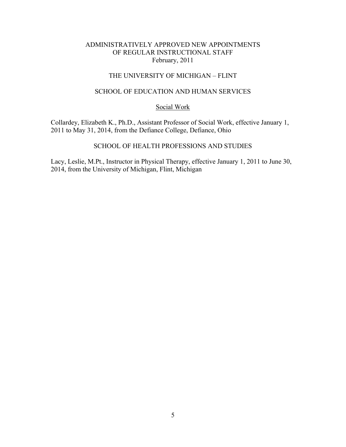# THE UNIVERSITY OF MICHIGAN – FLINT

### SCHOOL OF EDUCATION AND HUMAN SERVICES

### Social Work

Collardey, Elizabeth K., Ph.D., Assistant Professor of Social Work, effective January 1, 2011 to May 31, 2014, from the Defiance College, Defiance, Ohio

# SCHOOL OF HEALTH PROFESSIONS AND STUDIES

Lacy, Leslie, M.Pt., Instructor in Physical Therapy, effective January 1, 2011 to June 30, 2014, from the University of Michigan, Flint, Michigan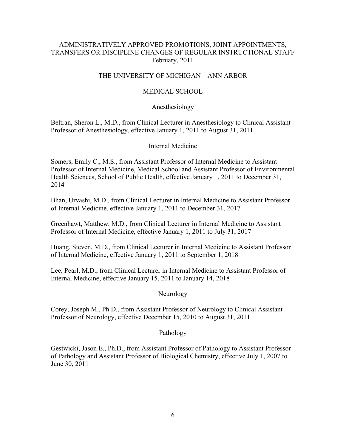# ADMINISTRATIVELY APPROVED PROMOTIONS, JOINT APPOINTMENTS, TRANSFERS OR DISCIPLINE CHANGES OF REGULAR INSTRUCTIONAL STAFF February, 2011

## THE UNIVERSITY OF MICHIGAN – ANN ARBOR

# MEDICAL SCHOOL

### Anesthesiology

Beltran, Sheron L., M.D., from Clinical Lecturer in Anesthesiology to Clinical Assistant Professor of Anesthesiology, effective January 1, 2011 to August 31, 2011

## Internal Medicine

Somers, Emily C., M.S., from Assistant Professor of Internal Medicine to Assistant Professor of Internal Medicine, Medical School and Assistant Professor of Environmental Health Sciences, School of Public Health, effective January 1, 2011 to December 31, 2014

Bhan, Urvashi, M.D., from Clinical Lecturer in Internal Medicine to Assistant Professor of Internal Medicine, effective January 1, 2011 to December 31, 2017

Greenhawt, Matthew, M.D., from Clinical Lecturer in Internal Medicine to Assistant Professor of Internal Medicine, effective January 1, 2011 to July 31, 2017

Huang, Steven, M.D., from Clinical Lecturer in Internal Medicine to Assistant Professor of Internal Medicine, effective January 1, 2011 to September 1, 2018

Lee, Pearl, M.D., from Clinical Lecturer in Internal Medicine to Assistant Professor of Internal Medicine, effective January 15, 2011 to January 14, 2018

## Neurology

Corey, Joseph M., Ph.D., from Assistant Professor of Neurology to Clinical Assistant Professor of Neurology, effective December 15, 2010 to August 31, 2011

## Pathology

Gestwicki, Jason E., Ph.D., from Assistant Professor of Pathology to Assistant Professor of Pathology and Assistant Professor of Biological Chemistry, effective July 1, 2007 to June 30, 2011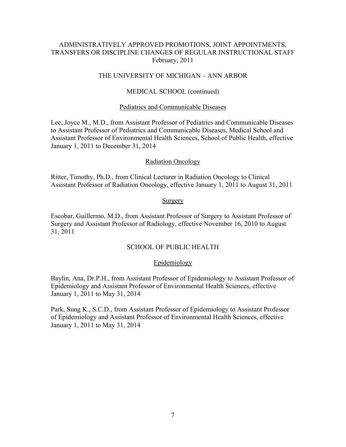# ADMINISTRATIVELY APPROVED PROMOTIONS, JOINT APPOINTMENTS, TRANSFERS OR DISCIPLINE CHANGES OF REGULAR INSTRUCTIONAL STAFF February, 2011

### THE UNIVERSITY OF MICHIGAN – ANN ARBOR

### MEDICAL SCHOOL (continued)

#### Pediatrics and Communicable Diseases

Lee, Joyce M., M.D., from Assistant Professor of Pediatrics and Communicable Diseases to Assistant Professor of Pediatrics and Communicable Diseases, Medical School and Assistant Professor of Environmental Health Sciences, School of Public Health, effective January 1, 2011 to December 31, 2014

#### Radiation Oncology

Ritter, Timothy, Ph.D., from Clinical Lecturer in Radiation Oncology to Clinical Assistant Professor of Radiation Oncology, effective January 1, 2011 to August 31, 2011

#### Surgery

Escobar, Guillermo, M.D., from Assistant Professor of Surgery to Assistant Professor of Surgery and Assistant Professor of Radiology, effective November 16, 2010 to August 31, 2011

#### SCHOOL OF PUBLIC HEALTH

#### Epidemiology

Baylin, Ana, Dr.P.H., from Assistant Professor of Epidemiology to Assistant Professor of Epidemiology and Assistant Professor of Environmental Health Sciences, effective January 1, 2011 to May 31, 2014

Park, Sung K., S.C.D., from Assistant Professor of Epidemiology to Assistant Professor of Epidemiology and Assistant Professor of Environmental Health Sciences, effective January 1, 2011 to May 31, 2014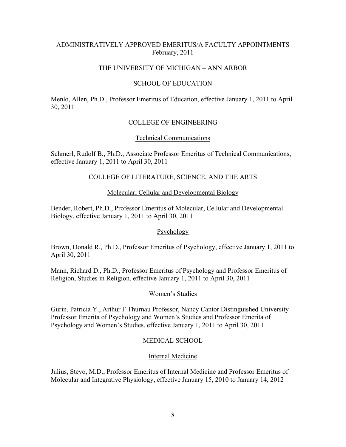# ADMINISTRATIVELY APPROVED EMERITUS/A FACULTY APPOINTMENTS February, 2011

### THE UNIVERSITY OF MICHIGAN – ANN ARBOR

### SCHOOL OF EDUCATION

Menlo, Allen, Ph.D., Professor Emeritus of Education, effective January 1, 2011 to April 30, 2011

## COLLEGE OF ENGINEERING

### Technical Communications

Schmerl, Rudolf B., Ph.D., Associate Professor Emeritus of Technical Communications, effective January 1, 2011 to April 30, 2011

## COLLEGE OF LITERATURE, SCIENCE, AND THE ARTS

### Molecular, Cellular and Developmental Biology

Bender, Robert, Ph.D., Professor Emeritus of Molecular, Cellular and Developmental Biology, effective January 1, 2011 to April 30, 2011

## Psychology

Brown, Donald R., Ph.D., Professor Emeritus of Psychology, effective January 1, 2011 to April 30, 2011

Mann, Richard D., Ph.D., Professor Emeritus of Psychology and Professor Emeritus of Religion, Studies in Religion, effective January 1, 2011 to April 30, 2011

#### Women's Studies

Gurin, Patricia Y., Arthur F Thurnau Professor, Nancy Cantor Distinguished University Professor Emerita of Psychology and Women's Studies and Professor Emerita of Psychology and Women's Studies, effective January 1, 2011 to April 30, 2011

## MEDICAL SCHOOL

#### Internal Medicine

Julius, Stevo, M.D., Professor Emeritus of Internal Medicine and Professor Emeritus of Molecular and Integrative Physiology, effective January 15, 2010 to January 14, 2012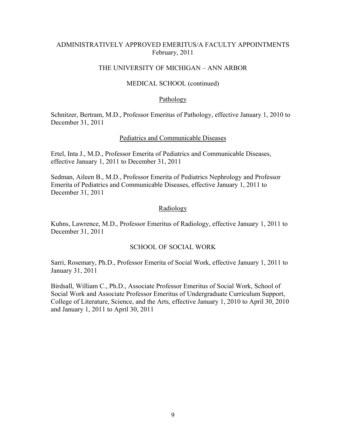## ADMINISTRATIVELY APPROVED EMERITUS/A FACULTY APPOINTMENTS February, 2011

### THE UNIVERSITY OF MICHIGAN – ANN ARBOR

### MEDICAL SCHOOL (continued)

#### **Pathology**

Schnitzer, Bertram, M.D., Professor Emeritus of Pathology, effective January 1, 2010 to December 31, 2011

#### Pediatrics and Communicable Diseases

Ertel, Inta J., M.D., Professor Emerita of Pediatrics and Communicable Diseases, effective January 1, 2011 to December 31, 2011

Sedman, Aileen B., M.D., Professor Emerita of Pediatrics Nephrology and Professor Emerita of Pediatrics and Communicable Diseases, effective January 1, 2011 to December 31, 2011

### Radiology

Kuhns, Lawrence, M.D., Professor Emeritus of Radiology, effective January 1, 2011 to December 31, 2011

### SCHOOL OF SOCIAL WORK

Sarri, Rosemary, Ph.D., Professor Emerita of Social Work, effective January 1, 2011 to January 31, 2011

Birdsall, William C., Ph.D., Associate Professor Emeritus of Social Work, School of Social Work and Associate Professor Emeritus of Undergraduate Curriculum Support, College of Literature, Science, and the Arts, effective January 1, 2010 to April 30, 2010 and January 1, 2011 to April 30, 2011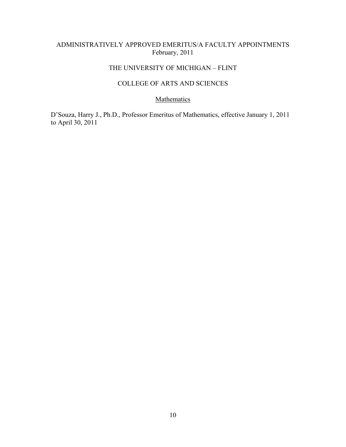# ADMINISTRATIVELY APPROVED EMERITUS/A FACULTY APPOINTMENTS February, 2011

# THE UNIVERSITY OF MICHIGAN – FLINT

# COLLEGE OF ARTS AND SCIENCES

# **Mathematics**

D'Souza, Harry J., Ph.D., Professor Emeritus of Mathematics, effective January 1, 2011 to April 30, 2011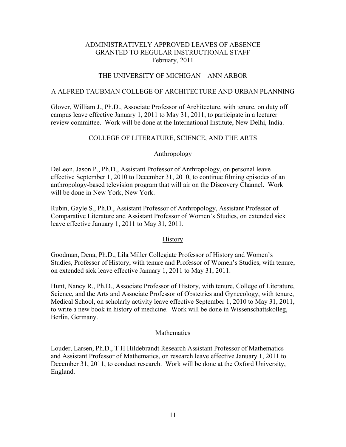## ADMINISTRATIVELY APPROVED LEAVES OF ABSENCE GRANTED TO REGULAR INSTRUCTIONAL STAFF February, 2011

# THE UNIVERSITY OF MICHIGAN – ANN ARBOR

#### A ALFRED TAUBMAN COLLEGE OF ARCHITECTURE AND URBAN PLANNING

Glover, William J., Ph.D., Associate Professor of Architecture, with tenure, on duty off campus leave effective January 1, 2011 to May 31, 2011, to participate in a lecturer review committee. Work will be done at the International Institute, New Delhi, India.

### COLLEGE OF LITERATURE, SCIENCE, AND THE ARTS

#### Anthropology

DeLeon, Jason P., Ph.D., Assistant Professor of Anthropology, on personal leave effective September 1, 2010 to December 31, 2010, to continue filming episodes of an anthropology-based television program that will air on the Discovery Channel. Work will be done in New York, New York.

Rubin, Gayle S., Ph.D., Assistant Professor of Anthropology, Assistant Professor of Comparative Literature and Assistant Professor of Women's Studies, on extended sick leave effective January 1, 2011 to May 31, 2011.

#### **History**

Goodman, Dena, Ph.D., Lila Miller Collegiate Professor of History and Women's Studies, Professor of History, with tenure and Professor of Women's Studies, with tenure, on extended sick leave effective January 1, 2011 to May 31, 2011.

Hunt, Nancy R., Ph.D., Associate Professor of History, with tenure, College of Literature, Science, and the Arts and Associate Professor of Obstetrics and Gynecology, with tenure, Medical School, on scholarly activity leave effective September 1, 2010 to May 31, 2011, to write a new book in history of medicine. Work will be done in Wissenschattskolleg, Berlin, Germany.

#### **Mathematics**

Louder, Larsen, Ph.D., T H Hildebrandt Research Assistant Professor of Mathematics and Assistant Professor of Mathematics, on research leave effective January 1, 2011 to December 31, 2011, to conduct research. Work will be done at the Oxford University, England.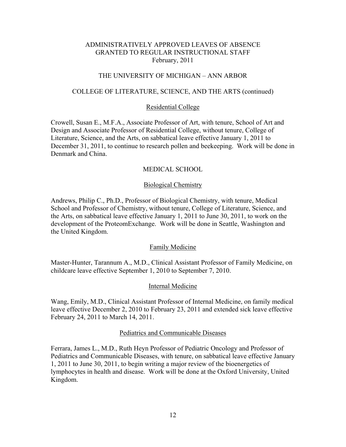### ADMINISTRATIVELY APPROVED LEAVES OF ABSENCE GRANTED TO REGULAR INSTRUCTIONAL STAFF February, 2011

## THE UNIVERSITY OF MICHIGAN – ANN ARBOR

#### COLLEGE OF LITERATURE, SCIENCE, AND THE ARTS (continued)

#### Residential College

Crowell, Susan E., M.F.A., Associate Professor of Art, with tenure, School of Art and Design and Associate Professor of Residential College, without tenure, College of Literature, Science, and the Arts, on sabbatical leave effective January 1, 2011 to December 31, 2011, to continue to research pollen and beekeeping. Work will be done in Denmark and China.

#### MEDICAL SCHOOL

#### Biological Chemistry

Andrews, Philip C., Ph.D., Professor of Biological Chemistry, with tenure, Medical School and Professor of Chemistry, without tenure, College of Literature, Science, and the Arts, on sabbatical leave effective January 1, 2011 to June 30, 2011, to work on the development of the ProteomExchange. Work will be done in Seattle, Washington and the United Kingdom.

#### Family Medicine

Master-Hunter, Tarannum A., M.D., Clinical Assistant Professor of Family Medicine, on childcare leave effective September 1, 2010 to September 7, 2010.

#### Internal Medicine

Wang, Emily, M.D., Clinical Assistant Professor of Internal Medicine, on family medical leave effective December 2, 2010 to February 23, 2011 and extended sick leave effective February 24, 2011 to March 14, 2011.

#### Pediatrics and Communicable Diseases

Ferrara, James L., M.D., Ruth Heyn Professor of Pediatric Oncology and Professor of Pediatrics and Communicable Diseases, with tenure, on sabbatical leave effective January 1, 2011 to June 30, 2011, to begin writing a major review of the bioenergetics of lymphocytes in health and disease. Work will be done at the Oxford University, United Kingdom.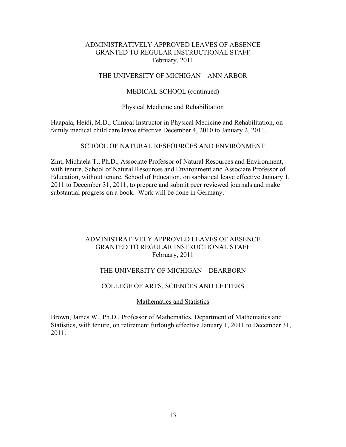## ADMINISTRATIVELY APPROVED LEAVES OF ABSENCE GRANTED TO REGULAR INSTRUCTIONAL STAFF February, 2011

### THE UNIVERSITY OF MICHIGAN – ANN ARBOR

### MEDICAL SCHOOL (continued)

#### Physical Medicine and Rehabilitation

Haapala, Heidi, M.D., Clinical Instructor in Physical Medicine and Rehabilitation, on family medical child care leave effective December 4, 2010 to January 2, 2011.

### SCHOOL OF NATURAL RESEOURCES AND ENVIRONMENT

Zint, Michaela T., Ph.D., Associate Professor of Natural Resources and Environment, with tenure, School of Natural Resources and Environment and Associate Professor of Education, without tenure, School of Education, on sabbatical leave effective January 1, 2011 to December 31, 2011, to prepare and submit peer reviewed journals and make substantial progress on a book. Work will be done in Germany.

## ADMINISTRATIVELY APPROVED LEAVES OF ABSENCE GRANTED TO REGULAR INSTRUCTIONAL STAFF February, 2011

### THE UNIVERSITY OF MICHIGAN – DEARBORN

### COLLEGE OF ARTS, SCIENCES AND LETTERS

### Mathematics and Statistics

Brown, James W., Ph.D., Professor of Mathematics, Department of Mathematics and Statistics, with tenure, on retirement furlough effective January 1, 2011 to December 31, 2011.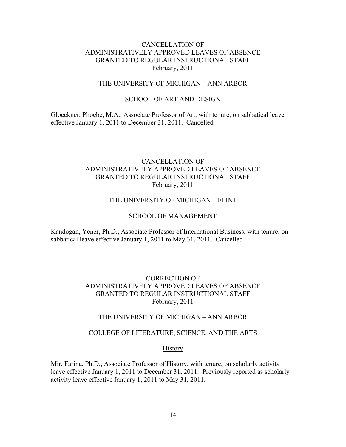# CANCELLATION OF ADMINISTRATIVELY APPROVED LEAVES OF ABSENCE GRANTED TO REGULAR INSTRUCTIONAL STAFF February, 2011

### THE UNIVERSITY OF MICHIGAN – ANN ARBOR

### SCHOOL OF ART AND DESIGN

Gloeckner, Phoebe, M.A., Associate Professor of Art, with tenure, on sabbatical leave effective January 1, 2011 to December 31, 2011. Cancelled

# CANCELLATION OF ADMINISTRATIVELY APPROVED LEAVES OF ABSENCE GRANTED TO REGULAR INSTRUCTIONAL STAFF February, 2011

#### THE UNIVERSITY OF MICHIGAN – FLINT

#### SCHOOL OF MANAGEMENT

Kandogan, Yener, Ph.D., Associate Professor of International Business, with tenure, on sabbatical leave effective January 1, 2011 to May 31, 2011. Cancelled

## CORRECTION OF ADMINISTRATIVELY APPROVED LEAVES OF ABSENCE GRANTED TO REGULAR INSTRUCTIONAL STAFF February, 2011

#### THE UNIVERSITY OF MICHIGAN – ANN ARBOR

#### COLLEGE OF LITERATURE, SCIENCE, AND THE ARTS

#### **History**

Mir, Farina, Ph.D., Associate Professor of History, with tenure, on scholarly activity leave effective January 1, 2011 to December 31, 2011. Previously reported as scholarly activity leave effective January 1, 2011 to May 31, 2011.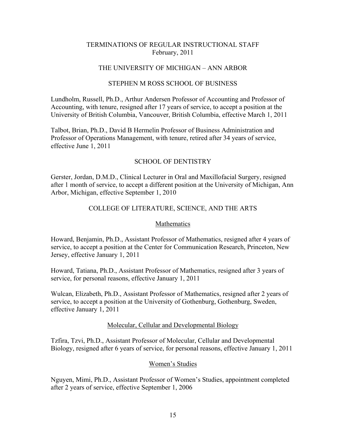## TERMINATIONS OF REGULAR INSTRUCTIONAL STAFF February, 2011

## THE UNIVERSITY OF MICHIGAN – ANN ARBOR

### STEPHEN M ROSS SCHOOL OF BUSINESS

Lundholm, Russell, Ph.D., Arthur Andersen Professor of Accounting and Professor of Accounting, with tenure, resigned after 17 years of service, to accept a position at the University of British Columbia, Vancouver, British Columbia, effective March 1, 2011

Talbot, Brian, Ph.D., David B Hermelin Professor of Business Administration and Professor of Operations Management, with tenure, retired after 34 years of service, effective June 1, 2011

## SCHOOL OF DENTISTRY

Gerster, Jordan, D.M.D., Clinical Lecturer in Oral and Maxillofacial Surgery, resigned after 1 month of service, to accept a different position at the University of Michigan, Ann Arbor, Michigan, effective September 1, 2010

## COLLEGE OF LITERATURE, SCIENCE, AND THE ARTS

### Mathematics

Howard, Benjamin, Ph.D., Assistant Professor of Mathematics, resigned after 4 years of service, to accept a position at the Center for Communication Research, Princeton, New Jersey, effective January 1, 2011

Howard, Tatiana, Ph.D., Assistant Professor of Mathematics, resigned after 3 years of service, for personal reasons, effective January 1, 2011

Wulcan, Elizabeth, Ph.D., Assistant Professor of Mathematics, resigned after 2 years of service, to accept a position at the University of Gothenburg, Gothenburg, Sweden, effective January 1, 2011

#### Molecular, Cellular and Developmental Biology

Tzfira, Tzvi, Ph.D., Assistant Professor of Molecular, Cellular and Developmental Biology, resigned after 6 years of service, for personal reasons, effective January 1, 2011

## Women's Studies

Nguyen, Mimi, Ph.D., Assistant Professor of Women's Studies, appointment completed after 2 years of service, effective September 1, 2006